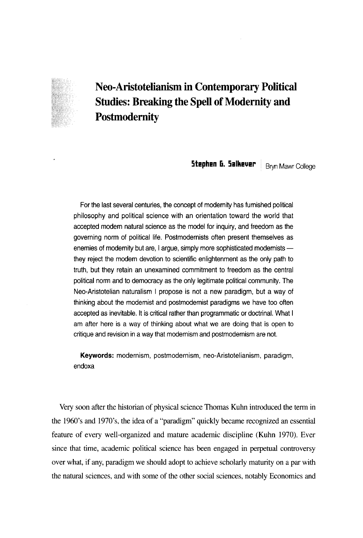## Neo-Aristotelianism in Contemporary Political Studies: Breaking the Spell of Modernity and Postmodernity

Stephen **G. Salkever** Bryn Mawr College

For the last several centuries, the concept of modemity has fumished political philosophy and political science with an orientation toward the world that accepted modem natural science as the model for inquiry, and freedom as the governing norm of political life. Postmodernists often present themselves as enemies of modernity but are, I argue, simply more sophisticated modernists they reject the modern devotion to scientific enlightenment as the only path to truth, but they retain an unexamined commitment to freedom as the central political norm and to democracy as the only legitimate political community. The Neo-Aristotelian naturalism 1 propose is not a new paradigm, but a way of thinking about the modernist and postmodernist paradigms we have too often accepted as inevitable. It is critical rather than programmatic or doctrinal. What 1 am after here is a way of thinking about what we are doing that is open to critique and revision in a way that modernism and postmodernism are not.

Keywords: modernism, postmodernism, neo-Aristotelianism, paradigm, endoxa

Very soon after the historian of physical science Thomas Kuhn introduced the term in the 1960's and 1970's, the idea of a ''paradigm" quickly became recognized an essential feature of every well-organized and mature academic discipline (Kuhn 1970). Ever since that time, academic political science has been engaged in perpetual controversy over what, if any, paradigm we should adopt to achieve scholarly maturity on a par with the natural sciences, and with some of the other social sciences, notably Economics and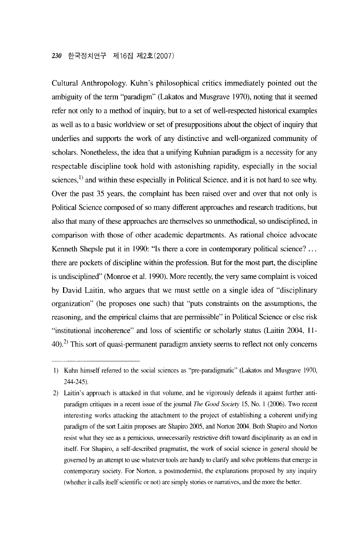Cultural Anthropology. Kuhn's philosophical critics immediately pointed out the nbiguity of the term "paradigm" (Lakatos and Musgrave 1970), noting that it seemed refer not only to a method of inquiry, but to a set of well-respected historical examples as well as to a basic worldview or set of presuppositions about the object of inquiry that underlies and supports the work of any distinctive and well-organized community of scholars. Nonetheless, the idea that a unifying Kuhnian paradigm is a necessity for any respectable discipline took hold with astonishing rapidity, especially in the social sciences,<sup>1)</sup> and within these especially in Political Science, and it is not hard to see why. Over the past 35 years, the complaint has been raised over and over that not only is Political Science composed of so many different approaches and research traditions, but also that many of these approaches are themselves so unmethodical, so undisciplined, in comparison with those of other academic departments. As rational choice advocate Kenneth Shepsle put it in 1990: "Is there a core in contemporary political science?  $\dots$ there are pockets of discipline within the profession. But for the most part, the discipline is undisciplined" (Monroe et al. 1990). More recently, the very same complaint is voiced by David Laitin, who argues that we must settle on a single idea of "disciplinary" organization" (he proposes one such) that " puts constraints on the assumptions, the reasoning, and the empirical claims that are permissible" in Political Sciencε or else risk "institutional incoherence" and loss of scientific or scholarly status (Laitin 2004, 11- $40$ ).<sup>2)</sup> This sort of quasi-permanent paradigm anxiety seems to reflect not only concerns

<sup>1)</sup> Kuhn himself referred to the socia1 sciences as " pre-paradigmatic'' (Lakatos and Musgrave 1970, 244-245).

<sup>2)</sup> Laitin's approach is attacked in that volume, and he vigorously defends it against further antiparadigm critiques in a recent issue of the jouma1 *The Good Society* 15, No. 1 (2006). Two recent interesting works attacking the attachment to the project of establishing a coherent unifying paradigm of the sort Laitin proposes are Shapiro 2005, and Norton 2004. Both Shapiro and Norton resist what they see as a pemicious, unnecessarily restrictive drift toward disciplinarity as an end in itself. For Shapiro, a sεIf-dεscribed pragmatist, the work of social science in general should be governed by an attempt to use whatever tools are handy to clarify and solve problems that emerge in contemporary society. For Norton, a postmodemist, the explanations proposed by any inquiry (whether it calls itself scientific or not) are simply stories or narratives, and the more the better.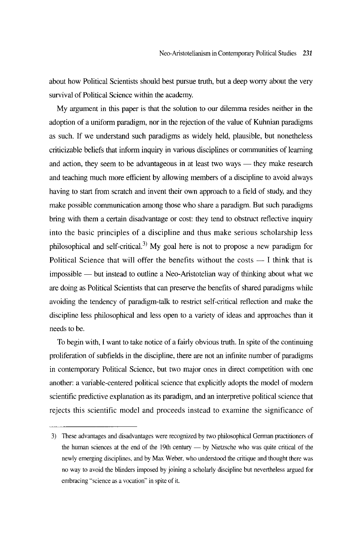about how Political Scientists should best pursue truth, but a deep worry about the very survival of Political Science within the academy.

My argument in this paper is that the solution to our dilemma resides neither in the adoption of a uniform paradigm, nor in the rejection of the value of Kuhnian paradigms as such. If we understand such paradigms as widely held, plausible, but nonetheless criticizable beliefs that inform inquiry in various disciplines or communities of learning and action, they seem to be advantageous in at least two ways  $-$  they make research and teaching much more efficient by allowing members of a discipline to avoid always having to start from scratch and invent their own approach to a field of study, and they make possible communication among those who share a paradigm. But such paradigms bring with them a certain disadvantage or cost: they tend to obstruct reflective inquiry into the basic principles of a discipline and thus make serious scholarship less philosophical and self-critical.<sup>3)</sup> My goal here is not to propose a new paradigm for Political Science that will offer the benefits without the costs  $-1$  think that is impossible — but instead to outline a Neo-Aristotelian way of thinking about what we are doing as Political Scientists that can preserve the benefits of shared paradigms while avoiding the tendency of paradigm-talk to restrict self-critical reflection and make the discipline less philosophical and less open to a variety of ideas and approaches than it needs to be.

To begin with, 1 want to take notice of a fairly obvious truth. In spite of the continuing proliferation of subfields in the discipline, there are not an infinite number of paradigms in contemporary Political Science, but two major ones in direct competition with one another: a variable-centered political science that explicitly adopts the model of modern scientific predictive explanation as its paradigm, and an interpretive political science that rejects this scientific model and proceeds instead to examine the significance of

<sup>3)</sup> These advantages and disadvantages were recognized by two philosophical German practitioners of the human sciences at the end of the 19th century - by Nietzsche who was quite critical of the newly emerging disciplines, and by Max Weber, who understood the critique and thought there was no way to avoid the blinders imposed by joining a scholarly discipline but nevertheless argued for embracing "science as a vocation" in spite of it.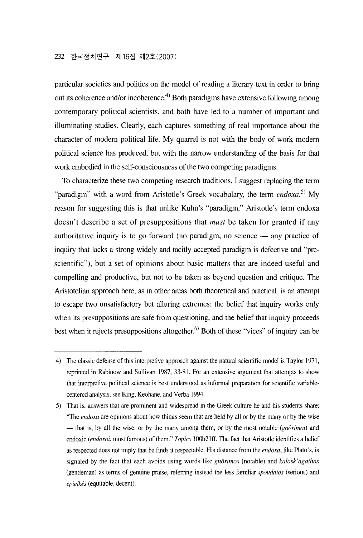particular societies and polities on the model of reading a literary text in order to bring out its coherence and/or incoherence.<sup>4)</sup> Both paradigms have extensive following among contemporary political scientists, and both have led to a number of important and illuminating studies. Clearly, each captures something of real importance about the character of modem political life. My quarrel is not with the body of work modem political science has produced, but with the narrow understanding of the basis for that work embodied in the self-consciousness of the two competing paradigms.

To characterize these two competing research traditions, 1 suggest replacing the term "paradigm" with a word from Aristotle's Greek vocabulary, the term *endoxa*.<sup>5)</sup> Mv reason for suggesting this is that unlike Kuhn's "paradigm," Aristotle's term endoxa doesn't describe a set of presuppositions that *must* be taken for granted if any authoritative inquiry is to go forward (no paradigm, no science  $-$  any practice of inquiry that lacks a strong widely and tacitly accepted paradigm is defective and "prescientific"), but a set of opinions about basic matters that are indeed useful and compelling and productive, but not to be taken as beyond question and critique. The Aristotelian approach here, as in other areas both theoretical and practical, is an attempt to escape two unsatisfactory but alluring εxtremes: the belief that inquiry works only when its presuppositions are safe from questioning, and the belief that inquiry proceeds best when it rejects presuppositions altogether.<sup> $6)$ </sup> Both of these "vices" of inquiry can be

<sup>4)</sup> The classic defense ofthis interpretive approach against the natural scientific model is Taylor 1971 , reprinted in Rabinow and Sullivan 1987, 33-81. For an extensive argument that attempts to show that interpretive political science is best understood as informal preparation for scientific variablecentered analysis, see King, Keohane, and Verba 1994.

<sup>5)</sup> That is, answers that are prominent and widespread in the Greek culture he and his students share: "The endoxa are opinions about how things seem that are held by all or by the many or by the wise - that is, by all the wise, or by the many among them, or by the most notable (g*nôrimoi)* and endoxic *(endoxoi*, most famous) of them." *Topics* 100b21ff. The fact that Aristotle identifies a belief as respected does not imply that he finds it respectable. His distance from the *endoxa*, like Plato's, is signaled by the fact that each avoids using words 1ike *gnôrimos* (notable) and *kalosk* '*agathos*  (gent1eman) as terms of genuine praise, referring instead the 1ess familiar *spoudaios* (serious) and *epieikês* (equitable, decent).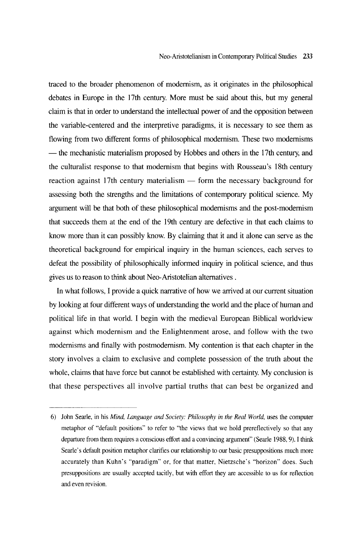traced to the broader phenomenon of modemism, as it originates in the philosophical debates in Europe in the 17th century. More must be said about this, but my general claim is that in order to understand the intellectual power of and the opposition between the variable-centered and the interpretive paradigms, it is necessary to see them as flowing from two different forms of philosophical modernism. These two modernisms - the mechanistic materialism proposed by Hobbes and others in the 17th century, and the culturalist response to that modemism that begins with Rousseau's 18th century reaction against 17th century materialism  $-$  form the necessary background for assessing both the strengths and the limitations of contemporary political science. My argument will be that both of these philosophical modernisms and the post-modernism that succeeds them at the end of the 19th century are defective in that each claims to know more than it can possibly know. By claiming that it and it alone can serve as the theoretical background for empirical inquiry in the human sciences, each serves to defeat the possibility of philosophically informed inquiry in political science, and thus gives us to reason to think about Neo-Aristotelian altematives .

In what follows, 1 provide a quick narrative of how we arrived at our current situation by looking at four different ways of understanding the world and the place of human and political life in that world. 1 begin with the medieval European Biblical worldview against which modemism and the Enlightenment arose, and follow with the two modemisms and finally with postmodemism. My contention is that each chapter in the story involvεs a claim to exclusive and complete possession of the truth about the whole, claims that have force but cannot be established with certainty. My conclusion is that these perspectives all involve partial truths that can best be organized and

<sup>6)</sup> John Searle, in his *Mind, Language and Society: Philosophy in the Real World*, uses the computer metaphor of "default positions" to refer to "the views that we hold prereflectively so that any departure from them requires a conscious effort and a convincing argument'' (Searle 1988, 9). 1 think Searle's default position metaphor clarifies our relationship to our basic presuppositions much more accurately than Kuhn's "paradigm" or, for that matter, Nietzsche's "horizon" does. Such presuppositions are usually accepted tacitly, but with effort they are accessiblε to us for reflection and even revision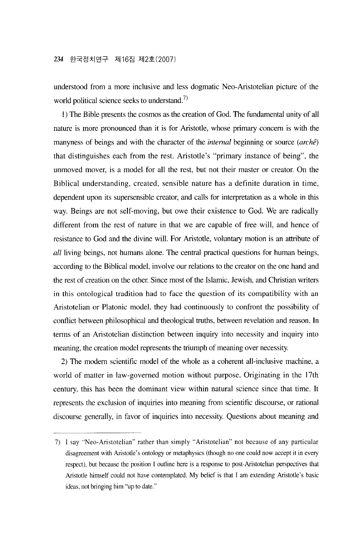understood from a more inclusive and less dogmatic Neo-Aristotelian picture of the world political science seeks to understand.<sup>7)</sup>

1) The Bible presents the cosmos as the creation of God. The fundamental unity of all nature is more pronounced than it is for Aristotle, whose primary concem is with the manyness of beings and with the character of the *internal* beginning or source (archê) that distinguishes each from the rest. Aristotle's " primary instance of being", the unmoved mover, is a model for all the rest, but not their master or creator. On the Biblical understanding, created, sensible nature has a definite duration in time, dependent upon its supersensible creator, and calls for interpretation as a whole in this way. Beings are not self-moving, but owe their existence to God. We are radically different from the rest of nature in that we are capable of free will, and hence of resistance to God and the divine will. For Aristotle, voluntary motion is an attribute of *all* living beings, not humans alone. The central practical questions for human beings, according to the Biblical model, involve our relations to the creator on the one hand and the rest of creation on the other. Since most of the Islamic, Jewish, and Christian writers in this ontological tradition had to face the question of its compatibility with an Aristotelian or Platonic model, they had continuously to confront the possibility of conflict between philosophical and theological truths, between revelation and reason. In terms of an Aristotelian distinction between inquiry into necessity and inquiry into meaning, the creation model represents the triumph of meaning over necessity.

2) The modern scientific model of the whole as a coherent all-inclusive machine, a world of matter in law-govemed motion without purpose. Originating in the 17th century, this has been the dominant view within natural science since that time. It represents the exclusion of inquiries into meaning from scientific discourse, or rational discourse generally, in favor of inquiries into necessity. Questions about meaning and

<sup>7) 1</sup> say " Neo-Aristotelian" rather than simply " Aristotelian" not because of any particular disagreement with Aristotle's ontology or metaphysics (though no one could now accept it in every respect), but because the position 1 outline here is a response to post-Aristotelian perspectives that Aristotle himself could not have contemplated. My belief is that 1 am extending Aristotle's basic ideas, not bringing him "up to date."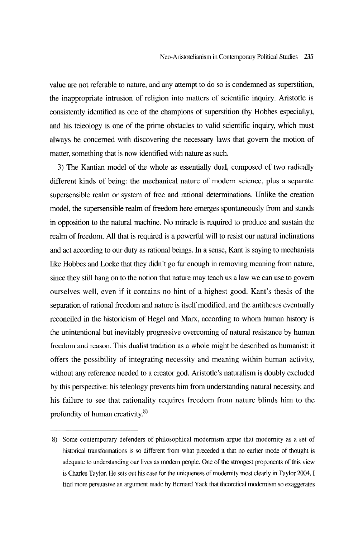value are not referable to nature, and any attempt to do so is condernied as superstition, the inappropriate intrusion of religion into matters of scientific inquiry. Aristotle is consistently identified as one of the champions of superstition (by Hobbes especially), and his teleology is one of the prime obstacles to valid scientific inquiry, which must always be concemed with discovering the necessary laws that govem the motion of matter, something that is now identified with nature as such.

3) The Kantian model of the whole as essentially dual, composed of two radically different kinds of being: the mechanical nature of modem science, plus a separate supersensible realm or system of free and rational determinations. Unlike the creation model, the supersensible realm of freedom here emerges spontaneously from and stands in opposition to the natural machine. No miracle is required to produce and sustain the realm of freedom. All that is required is a powerful wi11 to resist our natural inclinations and act according to our duty as rational beings. In a sense, Kant is saying to mechanists like Hobbes and Locke that they didn't go far enough in removing meaning from nature, since they still hang on to the notion that nature may teach us a law we can use to govern ourselves well, even if it contains no hint of a highest good. Kant's thesis of the separation of rational freedom and nature is itself modified, and the antitheses eventually reconciled in the historicism of Hegel and Marx, according to whom human history is the unintentional but inevitably progressive overcoming of natural resistance by human freedom and reason. This dualist tradition as a whole might be described as humanist: it offers the possibility of intεgrating necessity and meaning within human activity, without any reference needed to a creator god. Aristotle's naturalism is doubly excluded by this perspective: his teleology prevents him from understanding natural necessity, and his failure to see that rationality requires freedom from nature blinds him to the profundity of human creativity.<sup>8)</sup>

<sup>8)</sup> Some contemporary defenders of philosophical modernism argue that modernity as a set of historical transforrnations is so different from what preceded it that no earlier mode of thought is adequate to understanding our lives as modern people. One of the strongest proponents of this view is Charles Taylor. He sets out his case for the uniqueness of modernity most clearly in Taylor 2004. 1 find more persuasive an argument made by Bernard Yack that theoretical modernism so exaggerates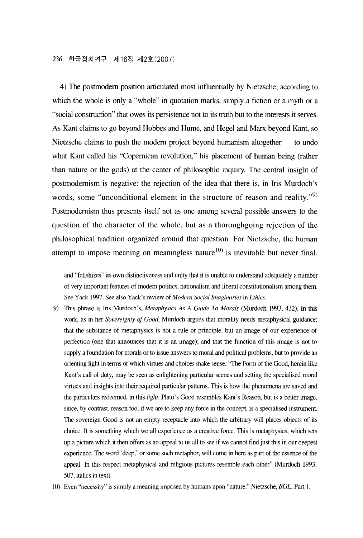4) The postmodern position articulated most influentially by Nietzsche, according to which the whole is only a "whole" in quotation marks, simply a fiction or a myth or a "social construction" that owes its persistence not to its truth but to the interests it serves. As Kant claims to go beyond Hobbes and Hume, and Hegel and Marx beyond Kant, so Nietzsche claims to push the modern project beyond humanism altogether  $-$  to undo what Kant called his "Copernican revolution," his placement of human being (rather than nature or the gods) at the center of philosophic inquiry. The central insight of postmodemism is negative: the rejection of the idea that there is, in Iris Murdoch's words, some "unconditional element in the structure of reason and reality."<sup>9)</sup> Postmodemism thus presents itself not as one among several possible answers to the question of the character of the whole, but as a thoroughgoing rejection of the philosophical tradition organized around that question. For Nietzsche, the human attempt to impose meaning on meaningless nature  $(10)$  is inevitable but never final.

and "fetishizes" its own distinctiveness and unity that it is unable to understand adequately a number of very important features of modem politics, nationalism and liberal constitutionalism among them. See Yack 1997. See also Yack's review of *Modem Social lmaginaries* in *Ethics.* 

<sup>9)</sup> This phrase is Iris Murdoch's, *Metaphysics As A Guide To Morals* (Murdoch 1993, 432). In this work, as in her *Sovereignty of Good*, Murdoch argues that morality needs metaphysical guidance; that the substance of metaphysics is not a rule or principle, but an image of our expεrience of perfεction (one that announces that it is an image); and that the function of this image is not to supply a foundation for morals or to issue answers to moral and political problems, but to provide an orienting light in terms of which viπues and choices make sense: "The Form of the Good, herein like Kant's call of duty, may be seen as enlightening particular scenes and setting the specialised moral virtues and insights into their required particular pattems. This is how the phenomena are saved and the particulars redeemed, in this *light*. Plato's Good resembles Kant's Reason, but is a better image, since, by contrast, reason too, if we are to keep any force in the concept, is a specialised instrument. The sovereign Good is not an empty receptacle into which the arbitrary will places objects of its choice. It is something which we all experience as a creative force. This is metaphysics, which sets up a picture which it then offers as an appeal to us all to see if we cannot find just this in our deepest experience. The word 'deep,' or some such metaphor, will come in here as part of the essence of the appeal. In this respect metaphysical and religious pictures resemble each other" (Murdoch 1993, 507, italics in text).

<sup>10)</sup> Even " necessity" is simply a meaning imposed by humans upon "nature." Nietzsche, *BGE*, Part 1.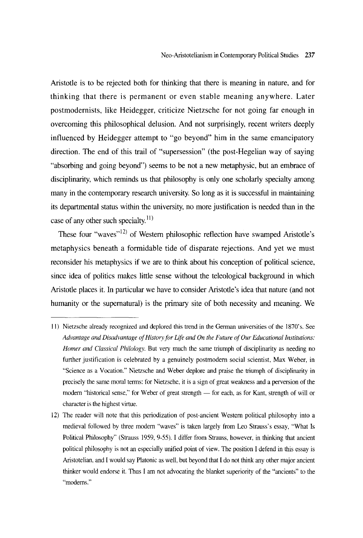Aristotle is to be rejected both for thinking that there is meaning in nature, and for thinking that there is permanent or even stable meaning anywhere. Later postmodernists, like Heidegger, criticize Nietzsche for not going far enough in overcoming this philosophical delusion. And not surprisingly, recent writers deeply influenced by Heidegger attempt to "go beyond" him in the same emancipatory direction. The end of this trail of "supersession" (the post-Hegelian way of saying "absorbing and going beyond") seems to be not a new metaphysic, but an embrace of disciplinarity, which reminds us that philosophy is only one scholarly specialty among many in the contemporary research university. So long as it is successful in maintaining its departmental status within the university, no more justification is needed than in the case of any other such specialty.<sup>11)</sup>

These four "waves"<sup>12)</sup> of Western philosophic reflection have swamped Aristotle's metaphysics beneath a formidable tide of disparate rejections. And yet we must reconsider his metaphysics if we are to think about his conception of political science, since idea of politics makes little sense without the teleological background in which Aristotle places it. In particular we have to consider Aristotle's idea that nature (and not humanity or the supematural) is the primary site of both necessity and meaning. We

<sup>11)</sup> Nietzsche already recognized and deplored this trend in the German universities of the 1870's. See *Advantage and Disadvantage of History for Life and On the Future of Our Educational Institutions: Homer and Classical Philology*. But very much the same triumph of disciplinarity as needing no further justification is celebrated by a genuinely postmodem social scientist, Max Weber, in "Science as a Vocation." Nietzsche and Weber deplore and praise the triumph of disciplinarity in precisely the same moral terms: for Nietzsche, it is a sign of great weakness and a perversion of the modern "historical sense," for Weber of great strength — for each, as for Kant, strength of will or character is the highest virtue.

<sup>12)</sup> The reader will note that this periodization of post-ancient Westem political philosophy into a medieval followed by three modern "waves" is taken largely from Leo Strauss's essay, "What Is Political Philosophy" (Strauss 1959, 9-55). I differ from Strauss, however, in thinking that ancient political philosophy is not an especially unified point of view. The position I defend in this essay is Aristotelian, and I would say Platonic as well, but beyond that I do not think any other major ancient thinker would endorse it. Thus I am not advocating the blanket superiority of the "ancients" to the "modems."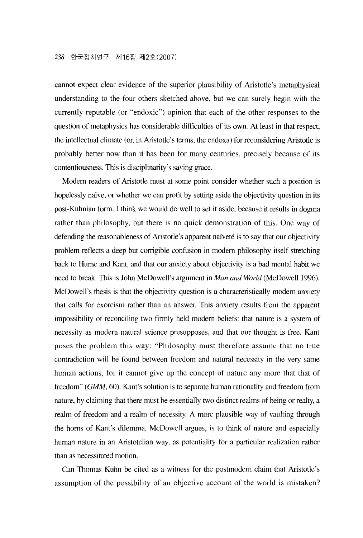cannot expect clear evidence of the superior plausibility of Aristotle's metaphysical understanding to the four others sketched above, but we can surely begin with the currently reputable (or "endoxic") opinion that each of the other responses to the question of metaphysics has considerable difficulties of its own. At least in that respect, the intellectual climate (or, in Aristotle's terms, the endoxa) for reconsidering Aristotle is probably better now than it has been for many centuries, precisely because of its contentiousness. This is disciplinarity's saving grace.

Modem readers of Aristotle must at some point consider whether such a position is hopelessly naïve, or whether we can profit by setting aside the objectivity question in its post-Kuhnian form. 1 think we would do well to set it aside, becausε it results in dogma rather than philosophy, but there is no quick demonstration of this. One way of defending the reasonableness of Aristotle's apparent naïveté is to say that our objectivity problem reflects a deep but corrigiblε confusion in modem philosophy itself stretching back to Hume and Kant, and that our anxiety about objectivity is a bad mental habit we need to break. This is John McDowell's argument in *Man and World* (McDowell 1996). McDowell's thesis is that the objectivity question is a characteristically modem anxiety that calls for exorcism rather than an answer. This anxiety results from the apparent impossibility of reconciling two firmly held modem bεliefs: that nature is a system of necessity as modern natural science presupposes, and that our thought is free. Kant posεs the problem this way: " Philosophy must thereforε assume that no true contradiction will be found between freεdom and natural necεssity in the very same human actions, for it cannot give up the concept of naturε any more that that of freedom" *(GMM*, 60). Kant's solution is to separate human rationality and freedom from nature, by claiming that there must be essentially two distinct rεalms of being or realty, a realm of freedom and a realm of necessity. A more plausible way of vaulting through the homs of Kant's dilemma, McDowell argues, is to think of nature and especially human nature in an Aristotelian way, as potentiality for a particular realization rather than as necεssitated motion.

Can Thomas Kuhn be cited as a witness for the postmodern claim that Aristotle's assumption of the possibility of an objective account of the world is mistaken?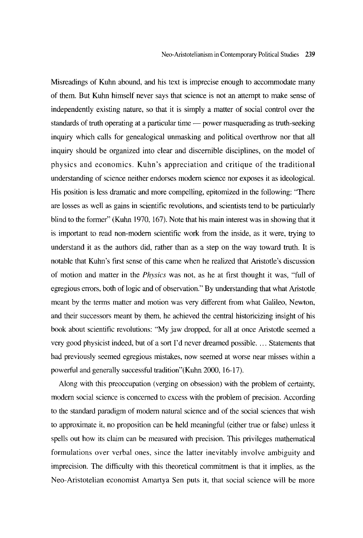Misreadings of Kuhn abound, and his text is imprecise enough to accommodate many of them. But Kuhn himsεlf never says that science is not an attempt to make sense of independently existing nature, so that it is simply a matter of social control over the standards of truth operating at a particular time — power masquerading as truth-seeking inquiry which calls for genealogical unmasking and political overthrow nor that all inquiry should be organized into clear and discemible disciplines, on the model of physics and economics. Kuhn's appreciation and critique of the traditional understanding of science neither endorses modem science nor exposes it as ideological. His position is less dramatic and more compelling, epitomized in the following: "There are losses as well as gains in scientific revolutions, and scientists tend to be particularly blind to the former" (Kuhn 1970, 167). Note that his main interest was in showing that it is important to read non-modem scientific work from the inside, as it were, trying to understand it as the authors did, rather than as a step on the way toward tmth. It is notable that Kuhn's first sense of this came when he realized that Aristotle's discussion of motion and matter in the *Physics* was not, as he at first thought it was, "full of egregious errors, both of 10gic and of observation." By understanding that what Aristotle meant by the terms matter and motion was very different from what Galileo, Newton, and their successors meant by them, he achieved the central historicizing insight of his book about scientific revolutions: "My jaw dropped, for all at once Aristotle seemed a very good physicist indeed, but of a sort 1'd never dreamed possible .... Statements that had previously seemed egregious mistakes, now seemed at worse near misses within a powerful and genera1Jy successful tradition"(Kuhn 2000, 16-17).

Along with this preoccupation (verging on obsession) with the problem of certainty, modern social science is concerned to excess with the problem of precision. According to the standard paradigm of modem natural science and of the social sciences that wish to approximate it, no proposition can be held meaningful (either true or false) unless it spells out how its claim can be measured with precision. This privileges mathematical formulations over verbal ones, since the latter inevitably involve ambiguity and imprecision. The difficulty with this theoretical commitment is that it implies, as the Neo-Aristotelian economist Amartya Sen puts it, that social science will be more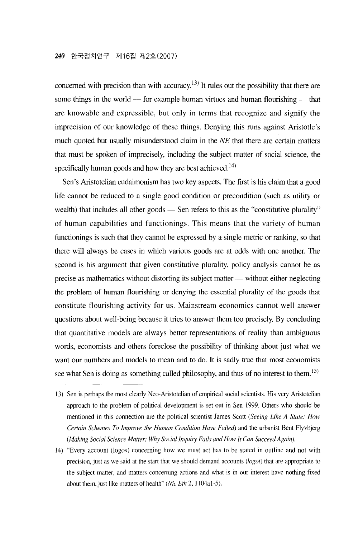concerned with precision than with accuracy.<sup>13)</sup> It rules out the possibility that there are some things in the world  $-$  for example human virtues and human flourishing  $-$  that are knowable and expressible, but only in terms that recognize and signify the imprecision of our knowledge of these things. Denying this mns against Aristotle's much quoted but usually misunderstood claim in the *NE* that there are certain matters that must be spoken of imprecisely, including the subject matter of social science, the specifically human goods and how they are best achieved.<sup> $(4)$ </sup>

Sen's Aristotelian eudaimonism has two key aspects. The first is his claim that a good life cannot be reduced to a single good condition or precondition (such as utility or wealth) that includes all other goods  $-$  Sen refers to this as the "constitutive plurality" of human capabilities and functionings. This means that the variety of human functionings is such that they cannot be expressεd by a single metric or ranking, so that there will a1ways be cases in which various goods are at odds with one another. The second is his argument that given constitutive plurality, policy analysis cannot be as precise as mathematics without distorting its subject matter — without either neglecting the problem of human flourishing or denying the essential plurality of the goods that constitute flourishing activity for us. Mainstream economics cannot well answer questions about well-being because it tries to answer them too precisely. By concluding that quantitative models are always better representations of reality than ambiguous words, economists and others foreclose the possibility of thinking about just what we want our numbers and models to mean and to do. lt is sadly true that most economists see what Sen is doing as something called philosophy, and thus of no interest to them.<sup>15)</sup>

<sup>13)</sup> Sen is perhaps the most clearly Neo-Aristotelian of empirical social scientists. His very Aristotelian approach to the problem of political development is set out in Sen 1999. Others who should be mentioned in this connection are the political scientist James Scott *(Seeing* Li*ke A State: How Certain Schemes To Improve the Human Condition Have Failed*) and the urbanist Bent Flyvbjerg *(Making Social Science Matter: Why Social Inquiry Fails and How It Can Succeed Again).* 

<sup>14)</sup> " Every account (logos) concerning how we must act has to be stated in outline and not with precision, just as we said at the start that we should demand accounts  $(logo\dot{v})$  that are appropriate to the subject matter, and matters concerning actions and what is in our interest have nothing fixed about them, just like matters of health" *(Nic Eth 2, 1104a1-5)*.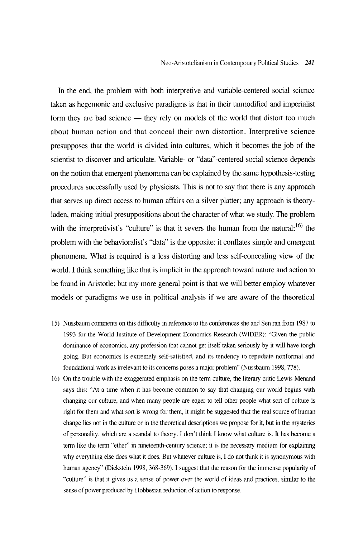In the end, the problem with both interpretive and variable-centered social science taken as hegemonic and exclusive paradigms is that in their unmodified and imperialist form they are bad science — they rely on models of the world that distort too much about human action and that conceal their own distortion. Interpretive sciencε presupposes that the world is divided into cultures, which it becomes the job of the scientist to discover and articulate. Variable- or "data"-centered social science depends on the notion that emergent phenomena can be explained by the same hypothesis-testing procedures successfully used by physicists. This is not to say that therε is any approach that serves up direct access to human affairs on a silver platter; any approach is theoryladen, making initial presuppositions about the character of what we study. The problem with the interpretivist's "culture" is that it severs the human from the natural;<sup>16)</sup> the problem with the behavioralist's "data" is the opposite: it conflates simple and emergent phenomena. What is required is a 1εss distorting and less self-concealing view of the world. 1 think something like that is implicit in the approach toward nature and action to be found in Aristotle; but my more general point is that we will better employ whatever models or paradigms we use in political analysis if we are aware of the theorεtical

<sup>15)</sup> Nussbaum comments on this difficulty in reference to the conferences she and Sen ran from 1987 to 1993 for the World Institute of Development Economics Research (WIDER): "Given the public dominance of economics, any profession that cannot get itself taken seriously by it will have tough going. But economics is extremely self-satisfied, and its tendency to repudiate nonformal and foundational work as irrelevant to its concems poses a major problem" (Nussbaum 1998, 778).

<sup>16)</sup> On the trouble with the exaggerated emphasis on the terrn culture, the literary critic Lewis Menand says this: "At a time when it has become common to say that changing our world begins with changing our culture, and when many people are eager to tell other people what sort of culture is right for them and what sort is wrong for them, it might be suggested that the real source of human change lies not in the culture or in the theoretical descriptions we propose for it, but in the mysteries of personality, which are a scandal to theory. I don't think I know what culture is. It has become a terrn like the terrn "ether" in nineteenth-century science; it is the necessary medium for explaining why everything else doεs what it doεs. But whatever culture is, 1 do not think it is synonymous with human agency" (Dickstein 1998, 368-369). I suggest that the reason for the immense popularity of " culture" is that it gives us a sense of power over the world of ideas and practices, similar to the sense of power produced by Hobbesian reduction of action to response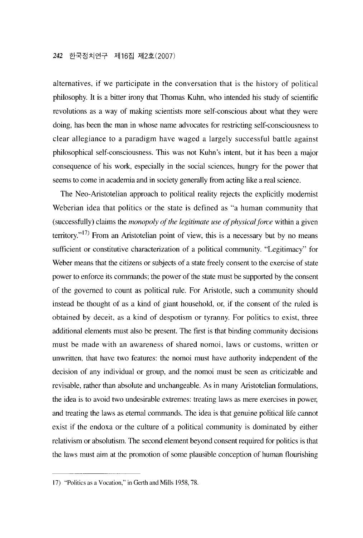alternatives, if wε participate in the conversation that is thε history of political philosophy. It is a bitter irony that Thomas Kuhn, who intended his study of scientific revolutions as a way of making scientists more self-conscious about what they were doing, has been the man in whose name advocates for restricting self-consciousness to clear allegiance to a paradigm have waged a largely successful battle against philosophical self-consciousness. This was not Kuhn's intent, but it has been a major consequence of his work, especially in the social sciences, hungry for the power that seems to come in academia and in society generalJy from acting like a real science.

The Neo-Aristotelian approach to political reality rejects the explicitly modemist Weberian idea that politics or the state is defined as "a human community that (successfully) claims the *monopoly of the legitimate use of physical force* within a given territory."<sup>17)</sup> From an Aristotelian point of view, this is a necessary but by no means sufficient or constitutive characterization of a political community. "Legitimacy" for Weber means that the citizens or subjects of a state freely consent to the exercise of state power to enforce its commands; the power of the state must be supported by the consent of the governed to count as political rule. For Aristotle, such a community should instead be thought of as a kind of giant household, or, if the consent of the ruled is obtained by deceit, as a kind of despotism or tyranny. For politics to exist, three additional elements must also bε presεnt. Thε first is that binding community decisions must be made with an awareness of shared nomoi, laws or customs, written or unwritten, that have two features: the nomoi must have authority independent of the decision of any individual or group, and the nomoi must be seen as criticizable and revisable, rather than absolute and unchangeable. As in many Aristotelian formulations, the idea is to avoid two undesirable extremes: treating laws as mere exercises in power, and treating the laws as eternal commands. The idea is that genuine political life cannot exist if the endoxa or the culture of a political community is dominated by either relativism or absolutism. The second element beyond consent required for politics is that the laws must aim at the promotion of some plausible conception of human flourishing

<sup>17) &</sup>quot;Politics as a Vocation," in Gerth and Mills 1958, 78.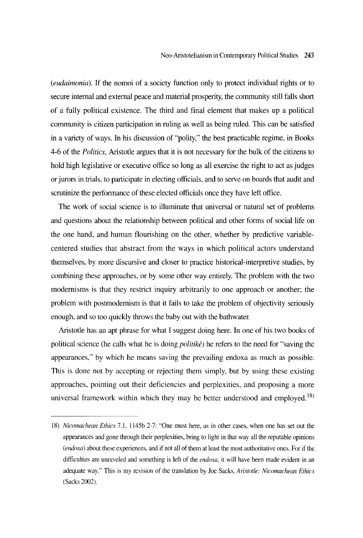*(eudaimonia).* If the nomoi of a society function only to protect individual rights or to secure intemal and extemal peace and material prosperity, the community still falls short of a fully political existence. The third and final element that makεs up a political community is citizen participation in ruling as well as being ruled. This can be satisfied in a variety of ways. In his discussion of " polity," the best practicable regime, in Books 4-6 of the *Politics*, Aristotle argues that it is not necessary for the bulk of the citizens to hold high legislative or executive office so long as all exercise the right to act as judges or jurors in trials, to participate in electing officials, and to serve on boards that audit and scrutinize the performance of these elected officials once they have left office.

The work of social science is to illuminate that universal or natural set of problems and questions about the relationship between political and other forms of social life on the one hand, and human tlourishing on the other, whether by predictive variablecentered studies that abstract from the ways in which political actors understand themselves, by more discursive and closer to practice historical-interpretive studies, by combining these approaches, or by some other way entirely. The problem with the two modemisms is that they restrict inquiry arbitrarily to one approach or another; the problem with postmodemism is that it fails to take the problem of objectivity seriously enough, and so too quickly throws the baby out with the bathwater.

Aristotle has an apt phrase for what 1 suggest doing here. In onε of his two books of political science (he calls what he is doing *politikê*) he refers to the need for "saving the appearances," by which he means saving the prevailing endoxa as much as possible This is done not by accepting or rejecting them simply, but by using these existing approaches, pointing out their deficiencies and perplexities, and proposing a more universal framework within which they may be better understood and employed.<sup>18)</sup>

*<sup>18)</sup> Nicomachean Ethics* 7.1, 1145b 2-7: "One must here, as in other cases, when one has set out the appearances and gone through their perplexities, bring to light in that way all the reputable opinions  $(endoxa)$  about these experiences, and if not all of them at least the most authoritative ones. For if the difficulties are unraveled and something is left of the *endoxa*, it will have been made evident in 때 adequate way." This is my revision of the translation by Joe Sacks, *Aristotle: Nicomachean Ethics* (Sacks 2002).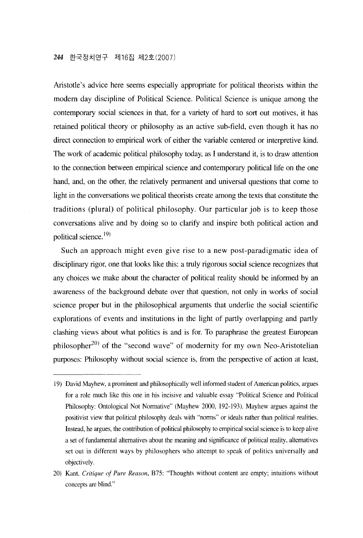Aristotle's advice here seems especially appropriate for political theorists within the modern day discipline of Political Science. Political Science is unique among the contemporary social sciencεs in that, for a variety of hard to sort out motives, it has retained political theory or philosophy as an active sub-field, even though it has no direct connection to empirical work of either the variable centered or interpretive kind. The work of academic political philosophy today, as 1 understand it, is to draw attention to the connection between empirical science and contemporary political life on the one hand, and, on the other, the relatively permanent and universal questions that come to light in the conversations we political theorists create among the texts that constitute the traditions (plural) of political philosophy. Our particular job is to keep those conversations alive and by doing so to clarify and inspire both political action and political science.<sup>19)</sup>

Such an approach might even give rise to a new post-paradigmatic idea of disciplinary rigor, one that looks like this: a truly rigorous social science recognizes that any choices we make about the character of political reality should be informed by an awareness of the background debate over that question, not only in works of social science proper but in the philosophical arguments that underliε the social scientific explorations of events and institutions in the light of partly overlapping and partly clashing views about what politics is and is for. To paraphrase the greatest European philosopher<sup>20</sup> of the "second wave" of modernity for my own Neo-Aristotelian purposes: Philosophy without social science is, from the perspective of action at least,

<sup>19)</sup> David Mayhew, a prominent and philosophically well infonned student of American politics, argues for a role much like this one in his incisive and valuable essay "Political Science and Political Philosophy: Ontological Not Normative" (Mayhew 2000, 192-193). Mayhew argues against the positivist view that political philosophy deals with "norms" or ideals rather than political realities. lnstead, he argues, the contribution of political philosophy to empirical social scien∞ is to keep alive a set of fundamental alternatives about the meaning and significance of political reality, alternatives sεt out in different ways by philosophers who attempt to speak of politics universally and objectively.

<sup>20)</sup> Kant, *Critique of Pure Reason*, B75: "Thoughts without content are empty; intuitions without concepts are blind."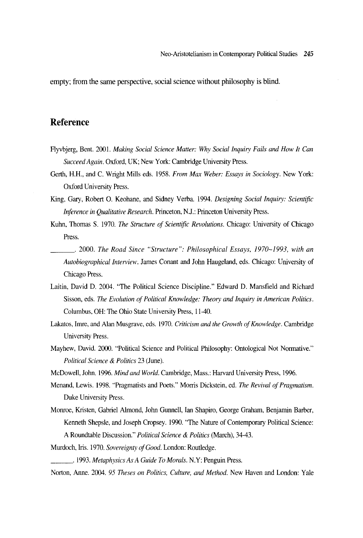empty; from the same perspective, social science without philosophy is blind.

## Reference

- Flyvbjerg, Bent. 2001. *Making Social Science Matter: Why Social Inquiry Fa*i!*s and How It Can Succeed Again.* Oxford, UK; New York: Cambridge University Press.
- Gerth, H.H., and C. Wright Mills eds. 1958. *From Max Weber: Essays in Sociology*. New York: Oxford University Press.
- King, Gary, Robert O. Keohane, and Sidney Verba. 1994. *Designing Social Inquiry: Scientific Inference in Qualitative Research. Princeton, N.J.: Princeton University Press.*
- Kuhn, Thomas S. 1970. The Structure of Scientific Revolutions. Chicago: University of Chicago Press.
	- \_\_\_ ' 2000. *The Road Since* " *Structure": Philosophical Essays. 1970-1993*, *with an Autobiographical Interview.* James Conant and John Haugeland, eds. Chicago: University of Chicago Press.
- Laitin, David D. 2004. "The Political Science Discipline." Edward D. Mansfield and Richard Sisson, eds. Th*e Evolution of Political Knowledge:* Theorγ *and* lnquirγ *in American Politics.*  Columbus, OH: The Ohio State University Press, 11-40
- Lakatos, Imre, and Alan Musgravε eds. 1970. *Criticism and the Growth of Knowledge.* Cambridge University Press
- Mayhew, David. 2000. "Political Science and Political Philosophy: Ontological Not Normative." *Political Science* & *Politics* 23 (June).
- McDowell, John. 1996. *Mind and World.* Cambridge, Mass.: Harvard University Press, 1996.
- Menand, Lewis. 1998. "Pragmatists and Poets." Morris Dickstein, ed. Th*e Revival of Pragmatism*  Duke University Press.
- Monroe, Kristen, Gabriel Almond, John Gunnell, Ian Shapiro, George Graham, Benjamin Barber, Kenneth Shepsle, and Joseph Cropsey. 1990. "The Nature of Contemporary Political Science: A Roundtable Discussion." *Political Science* & *Politics* (March), 34-43.
- Murdoch, Iris. 1970. *Sovereignty of Good.* London: Routledge
- \_\_\_ ' 1993. *Metaphysics As A Guide To Morals.* N.Y: Penguin Press.
- Norton, Anne. 2004. 95 Theses on Politics, Culture, and Method. New Haven and London: Yale